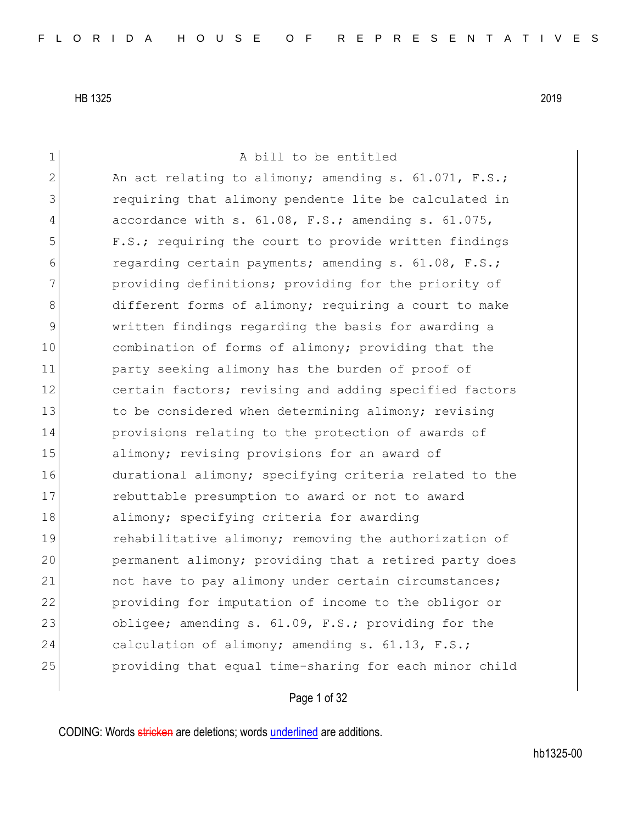1 a bill to be entitled 2 An act relating to alimony; amending s.  $61.071$ , F.S.; 3 requiring that alimony pendente lite be calculated in 4 accordance with s. 61.08, F.S.; amending s. 61.075, 5 **F.S.;** requiring the court to provide written findings 6 regarding certain payments; amending s. 61.08, F.S.; 7 **providing definitions;** providing for the priority of 8 different forms of alimony; requiring a court to make 9 written findings regarding the basis for awarding a 10 combination of forms of alimony; providing that the 11 party seeking alimony has the burden of proof of 12 certain factors; revising and adding specified factors 13 to be considered when determining alimony; revising 14 provisions relating to the protection of awards of 15 alimony; revising provisions for an award of 16 durational alimony; specifying criteria related to the 17 rebuttable presumption to award or not to award 18 alimony; specifying criteria for awarding 19 **rehabilitative alimony;** removing the authorization of 20 permanent alimony; providing that a retired party does 21 and have to pay alimony under certain circumstances; 22 providing for imputation of income to the obligor or 23 obligee; amending s. 61.09, F.S.; providing for the 24 calculation of alimony; amending s. 61.13, F.S.; 25 providing that equal time-sharing for each minor child

# Page 1 of 32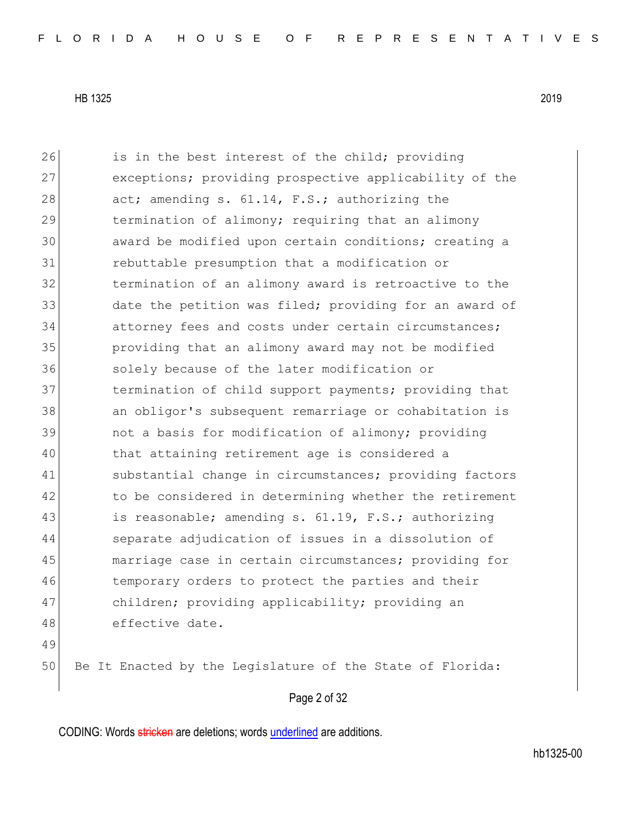26 is in the best interest of the child; providing 27 exceptions; providing prospective applicability of the 28 act; amending s. 61.14, F.S.; authorizing the 29 termination of alimony; requiring that an alimony 30 award be modified upon certain conditions; creating a 31 rebuttable presumption that a modification or 32 termination of an alimony award is retroactive to the 33 date the petition was filed; providing for an award of 34 attorney fees and costs under certain circumstances; 35 providing that an alimony award may not be modified 36 solely because of the later modification or 37 termination of child support payments; providing that 38 an obligor's subsequent remarriage or cohabitation is 39 and the same of alimony; providing 40 that attaining retirement age is considered a 41 substantial change in circumstances; providing factors 42 to be considered in determining whether the retirement 43 is reasonable; amending s. 61.19, F.S.; authorizing 44 Separate adjudication of issues in a dissolution of 45 marriage case in certain circumstances; providing for 46 temporary orders to protect the parties and their 47 children; providing applicability; providing an 48 effective date. 49 50 Be It Enacted by the Legislature of the State of Florida:

Page 2 of 32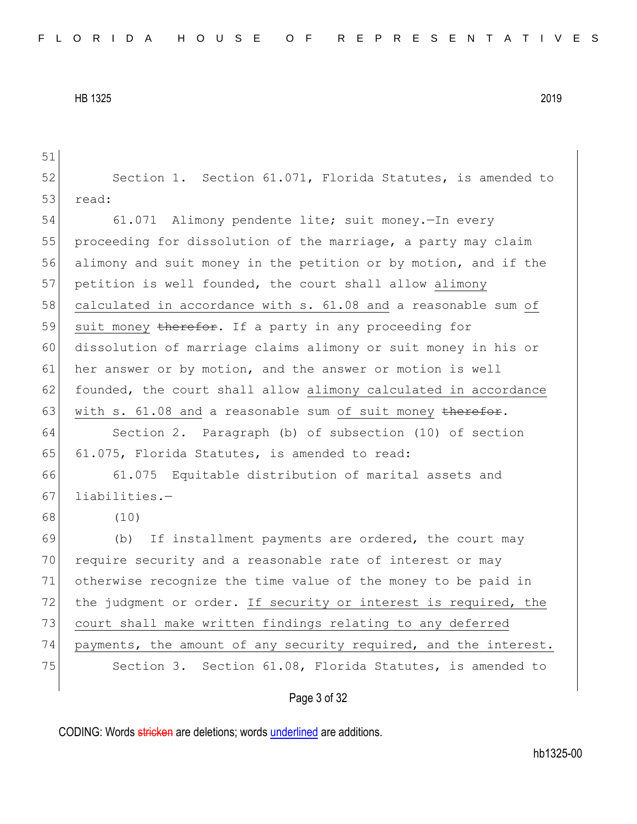Page 3 of 32 51 52 Section 1. Section 61.071, Florida Statutes, is amended to 53 read: 54 61.071 Alimony pendente lite; suit money.—In every 55 proceeding for dissolution of the marriage, a party may claim 56 alimony and suit money in the petition or by motion, and if the 57 petition is well founded, the court shall allow alimony 58 calculated in accordance with s. 61.08 and a reasonable sum of 59 suit money therefor. If a party in any proceeding for 60 dissolution of marriage claims alimony or suit money in his or 61 her answer or by motion, and the answer or motion is well 62 founded, the court shall allow alimony calculated in accordance 63 with s.  $61.08$  and a reasonable sum of suit money therefor. 64 Section 2. Paragraph (b) of subsection (10) of section 65 61.075, Florida Statutes, is amended to read: 66 61.075 Equitable distribution of marital assets and  $67$  liabilities.-68 (10) 69 (b) If installment payments are ordered, the court may 70 require security and a reasonable rate of interest or may 71 otherwise recognize the time value of the money to be paid in 72 the judgment or order. If security or interest is required, the 73 court shall make written findings relating to any deferred 74 payments, the amount of any security required, and the interest. 75 Section 3. Section 61.08, Florida Statutes, is amended to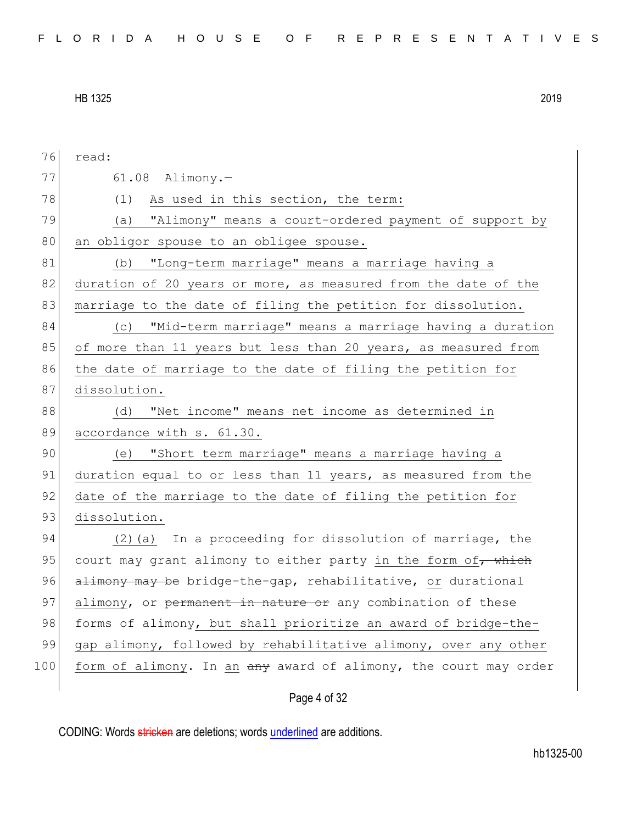| 76  | read:                                                            |
|-----|------------------------------------------------------------------|
| 77  | $61.08$ Alimony.-                                                |
| 78  | (1)<br>As used in this section, the term:                        |
| 79  | (a) "Alimony" means a court-ordered payment of support by        |
| 80  | an obligor spouse to an obligee spouse.                          |
| 81  | (b) "Long-term marriage" means a marriage having a               |
| 82  | duration of 20 years or more, as measured from the date of the   |
| 83  | marriage to the date of filing the petition for dissolution.     |
| 84  | "Mid-term marriage" means a marriage having a duration<br>(C)    |
| 85  | of more than 11 years but less than 20 years, as measured from   |
| 86  | the date of marriage to the date of filing the petition for      |
| 87  | dissolution.                                                     |
| 88  | "Net income" means net income as determined in<br>(d)            |
| 89  | accordance with s. 61.30.                                        |
| 90  | (e) "Short term marriage" means a marriage having a              |
| 91  | duration equal to or less than 11 years, as measured from the    |
| 92  | date of the marriage to the date of filing the petition for      |
| 93  | dissolution.                                                     |
| 94  | In a proceeding for dissolution of marriage, the<br>$(2)$ (a)    |
| 95  | court may grant alimony to either party in the form of, which    |
| 96  | alimony may be bridge-the-gap, rehabilitative, or durational     |
| 97  | alimony, or permanent in nature or any combination of these      |
| 98  | forms of alimony, but shall prioritize an award of bridge-the-   |
| 99  | gap alimony, followed by rehabilitative alimony, over any other  |
| 100 | form of alimony. In an any award of alimony, the court may order |
|     |                                                                  |

# Page 4 of 32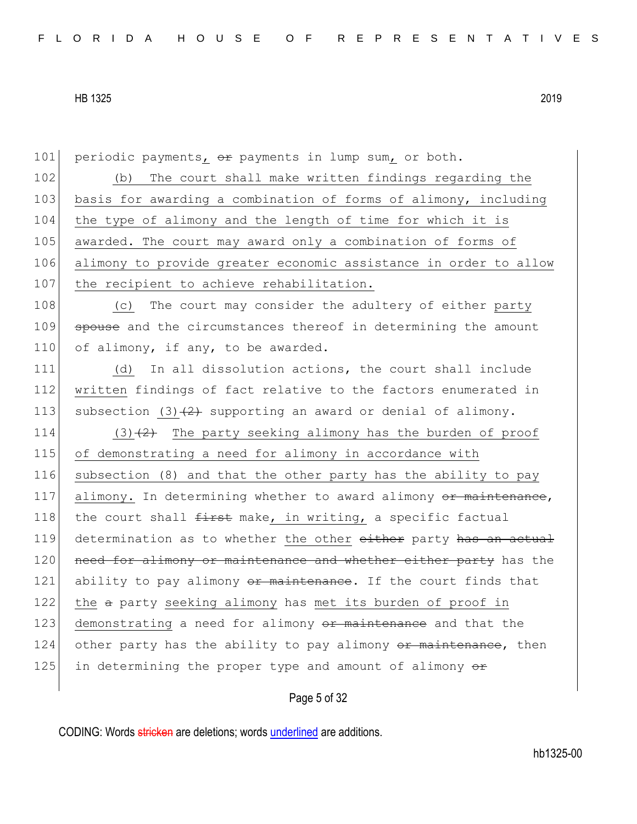101 periodic payments, or payments in lump sum, or both.

102 (b) The court shall make written findings regarding the 103 basis for awarding a combination of forms of alimony, including 104 the type of alimony and the length of time for which it is 105 awarded. The court may award only a combination of forms of 106 alimony to provide greater economic assistance in order to allow 107 the recipient to achieve rehabilitation.

108 (c) The court may consider the adultery of either party 109 spouse and the circumstances thereof in determining the amount 110 of alimony, if any, to be awarded.

111 (d) In all dissolution actions, the court shall include 112 written findings of fact relative to the factors enumerated in 113 subsection (3) $(2)$  supporting an award or denial of alimony.

114  $(3)(2)$  The party seeking alimony has the burden of proof 115 of demonstrating a need for alimony in accordance with 116 subsection (8) and that the other party has the ability to pay 117 alimony. In determining whether to award alimony or maintenance, 118 the court shall  $f$ irst make, in writing, a specific factual 119 determination as to whether the other either party has an actual 120 need for alimony or maintenance and whether either party has the 121 ability to pay alimony  $\sigma$  maintenance. If the court finds that 122 the a party seeking alimony has met its burden of proof in 123 demonstrating a need for alimony or maintenance and that the  $124$  other party has the ability to pay alimony  $\theta$  maintenance, then 125 in determining the proper type and amount of alimony  $\theta$ 

### Page 5 of 32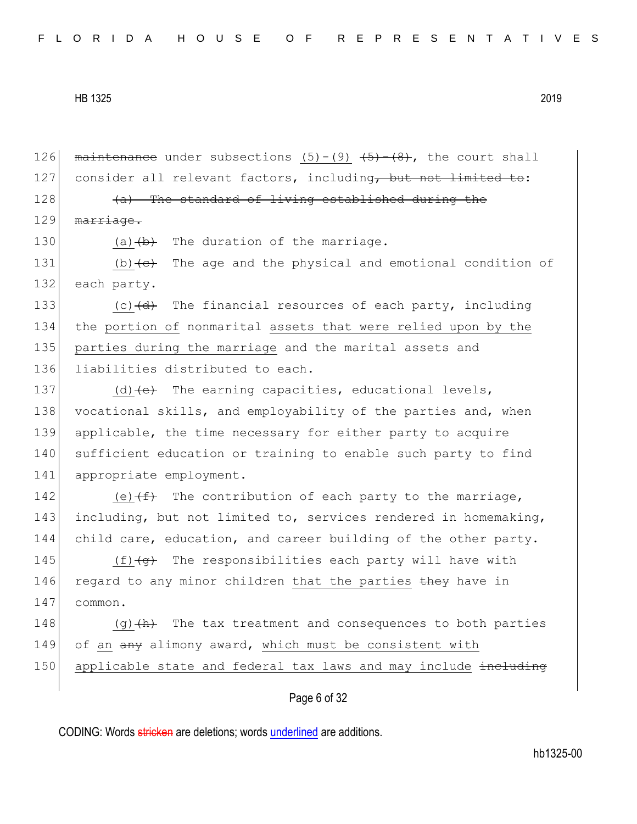126 maintenance under subsections  $(5)-(9)$   $(45)-(8)$ , the court shall 127 consider all relevant factors, including, but not limited to:  $128$  (a) The standard of living established during the 129 marriage. 130 (a)  $(b)$  The duration of the marriage. 131  $(b)$   $\left\{\n e\right\}$  The age and the physical and emotional condition of 132 each party. 133 (c) $\frac{d}{dt}$  The financial resources of each party, including 134 the portion of nonmarital assets that were relied upon by the 135 parties during the marriage and the marital assets and 136 liabilities distributed to each. 137 (d)  $\left(e\right)$  The earning capacities, educational levels, 138 vocational skills, and employability of the parties and, when 139 applicable, the time necessary for either party to acquire 140 sufficient education or training to enable such party to find 141 appropriate employment. 142 (e) $(f+)$  The contribution of each party to the marriage, 143 including, but not limited to, services rendered in homemaking, 144 child care, education, and career building of the other party. 145  $(f)$   $\left(\frac{f}{f}\right)$  The responsibilities each party will have with 146 regard to any minor children that the parties they have in 147 common. 148  $(q)$  (g)  $(h)$  The tax treatment and consequences to both parties 149 of an any alimony award, which must be consistent with 150 applicable state and federal tax laws and may include including

# Page 6 of 32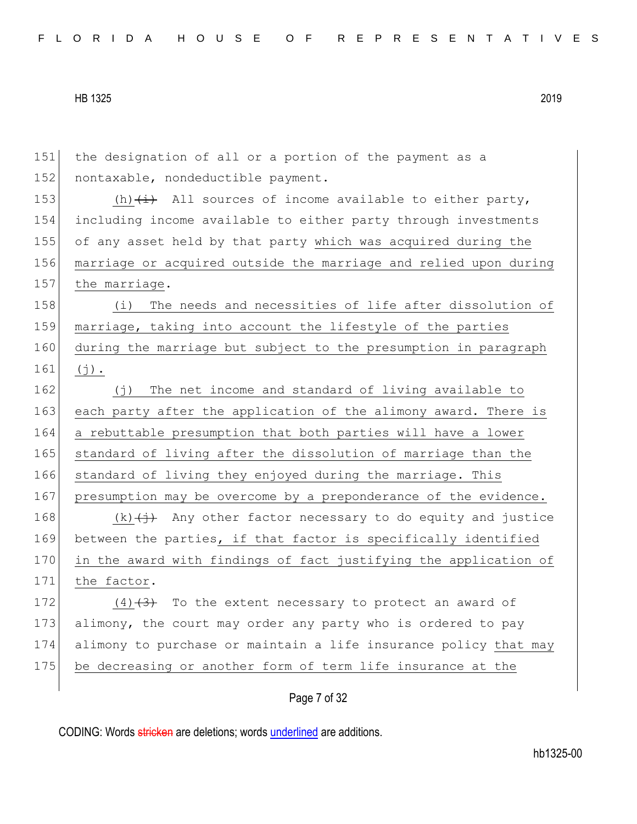| 151 | the designation of all or a portion of the payment as a                          |
|-----|----------------------------------------------------------------------------------|
| 152 | nontaxable, nondeductible payment.                                               |
| 153 | (h) $\overleftrightarrow{a}$ All sources of income available to either party,    |
| 154 | including income available to either party through investments                   |
| 155 | of any asset held by that party which was acquired during the                    |
| 156 | marriage or acquired outside the marriage and relied upon during                 |
| 157 | the marriage.                                                                    |
| 158 | The needs and necessities of life after dissolution of<br>(i)                    |
| 159 | marriage, taking into account the lifestyle of the parties                       |
| 160 | during the marriage but subject to the presumption in paragraph                  |
| 161 | $(j)$ .                                                                          |
| 162 | The net income and standard of living available to<br>( † )                      |
| 163 | each party after the application of the alimony award. There is                  |
| 164 | a rebuttable presumption that both parties will have a lower                     |
| 165 | standard of living after the dissolution of marriage than the                    |
| 166 | standard of living they enjoyed during the marriage. This                        |
| 167 | presumption may be overcome by a preponderance of the evidence.                  |
| 168 | $(k)$ $\overrightarrow{(+)}$ Any other factor necessary to do equity and justice |
| 169 | between the parties, if that factor is specifically identified                   |
| 170 | in the award with findings of fact justifying the application of                 |
| 171 | the factor.                                                                      |
| 172 | $(4)$ $(3)$ To the extent necessary to protect an award of                       |
| 173 | alimony, the court may order any party who is ordered to pay                     |
| 174 | alimony to purchase or maintain a life insurance policy that may                 |
| 175 | be decreasing or another form of term life insurance at the                      |
|     |                                                                                  |

Page 7 of 32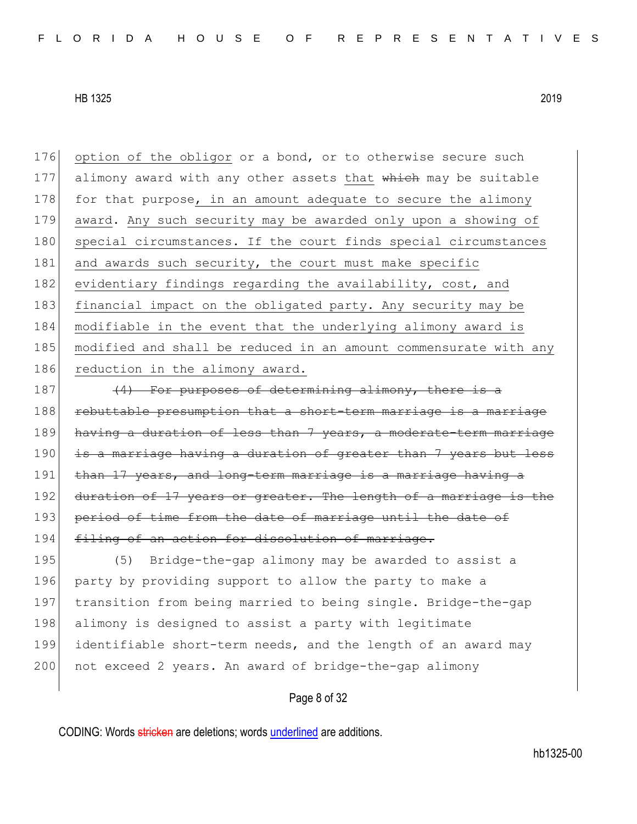176 option of the obligor or a bond, or to otherwise secure such 177 alimony award with any other assets that which may be suitable 178 for that purpose, in an amount adequate to secure the alimony 179 award. Any such security may be awarded only upon a showing of 180 special circumstances. If the court finds special circumstances 181 and awards such security, the court must make specific 182 evidentiary findings regarding the availability, cost, and 183 financial impact on the obligated party. Any security may be 184 modifiable in the event that the underlying alimony award is 185 modified and shall be reduced in an amount commensurate with any 186 reduction in the alimony award.

187  $(4)$  For purposes of determining alimony, there is a 188 rebuttable presumption that a short-term marriage is a marriage 189 having a duration of less than 7 years, a moderate-term marriage 190 is a marriage having a duration of greater than 7 years but less 191 than 17 years, and long-term marriage is a marriage having a 192 duration of 17 years or greater. The length of a marriage is the 193 period of time from the date of marriage until the date of 194 filing of an action for dissolution of marriage. 195 (5) Bridge-the-gap alimony may be awarded to assist a

196 party by providing support to allow the party to make a 197 transition from being married to being single. Bridge-the-gap 198 alimony is designed to assist a party with legitimate 199 identifiable short-term needs, and the length of an award may 200 not exceed 2 years. An award of bridge-the-gap alimony

Page 8 of 32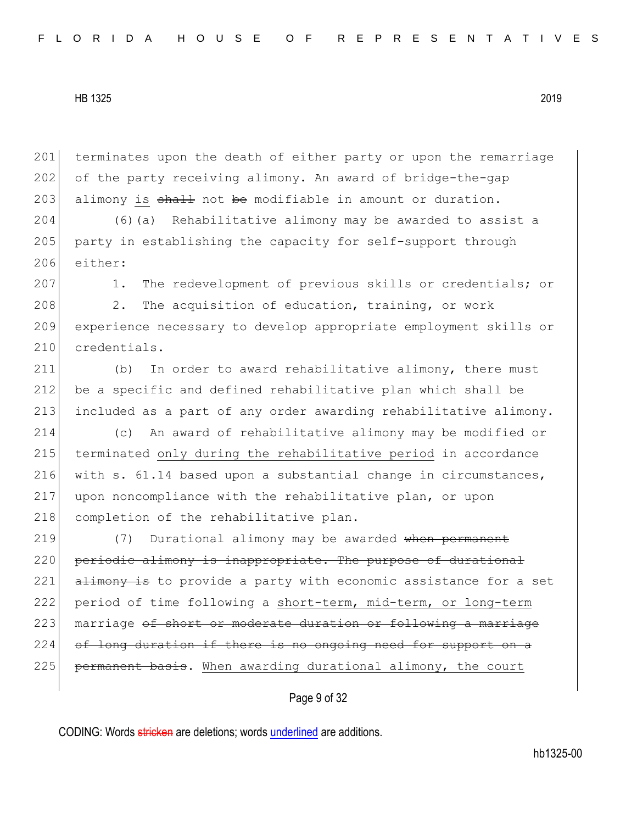201 terminates upon the death of either party or upon the remarriage 202 of the party receiving alimony. An award of bridge-the-gap 203 alimony is  $shall$  not be modifiable in amount or duration.

204 (6)(a) Rehabilitative alimony may be awarded to assist a 205 party in establishing the capacity for self-support through 206 either:

207 1. The redevelopment of previous skills or credentials; or

208 2. The acquisition of education, training, or work 209 experience necessary to develop appropriate employment skills or 210 credentials.

211 (b) In order to award rehabilitative alimony, there must 212 be a specific and defined rehabilitative plan which shall be 213 included as a part of any order awarding rehabilitative alimony.

214 (c) An award of rehabilitative alimony may be modified or 215 terminated only during the rehabilitative period in accordance 216 with s. 61.14 based upon a substantial change in circumstances, 217 upon noncompliance with the rehabilitative plan, or upon 218 completion of the rehabilitative plan.

219 (7) Durational alimony may be awarded when permanent 220 periodic alimony is inappropriate. The purpose of durational  $221$  alimony is to provide a party with economic assistance for a set 222 period of time following a short-term, mid-term, or long-term 223 marriage of short or moderate duration or following a marriage 224 of long duration if there is no ongoing need for support on a  $225$  permanent basis. When awarding durational alimony, the court

# Page 9 of 32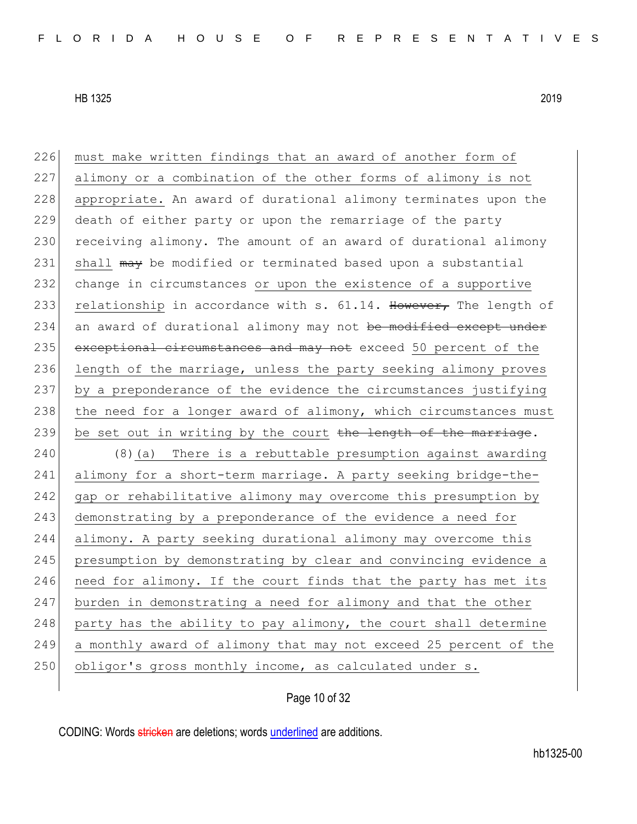| 226 | must make written findings that an award of another form of      |
|-----|------------------------------------------------------------------|
| 227 | alimony or a combination of the other forms of alimony is not    |
| 228 | appropriate. An award of durational alimony terminates upon the  |
| 229 | death of either party or upon the remarriage of the party        |
| 230 | receiving alimony. The amount of an award of durational alimony  |
| 231 | shall may be modified or terminated based upon a substantial     |
| 232 | change in circumstances or upon the existence of a supportive    |
| 233 | relationship in accordance with s. 61.14. However, The length of |
| 234 | an award of durational alimony may not be modified except under  |
| 235 | exceptional circumstances and may not exceed 50 percent of the   |
| 236 | length of the marriage, unless the party seeking alimony proves  |
| 237 | by a preponderance of the evidence the circumstances justifying  |
| 238 | the need for a longer award of alimony, which circumstances must |
| 239 | be set out in writing by the court the length of the marriage.   |
|     |                                                                  |
| 240 | (8) (a) There is a rebuttable presumption against awarding       |
| 241 | alimony for a short-term marriage. A party seeking bridge-the-   |
| 242 | gap or rehabilitative alimony may overcome this presumption by   |
| 243 | demonstrating by a preponderance of the evidence a need for      |
| 244 | alimony. A party seeking durational alimony may overcome this    |
| 245 | presumption by demonstrating by clear and convincing evidence a  |
| 246 | need for alimony. If the court finds that the party has met its  |
| 247 | burden in demonstrating a need for alimony and that the other    |
| 248 | party has the ability to pay alimony, the court shall determine  |
| 249 | a monthly award of alimony that may not exceed 25 percent of the |
| 250 | obligor's gross monthly income, as calculated under s.           |

Page 10 of 32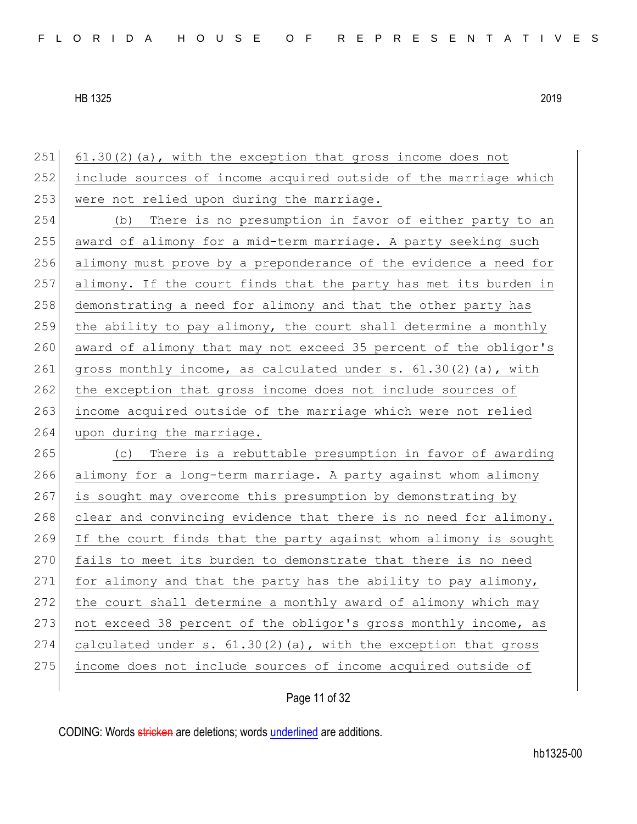251 61.30(2)(a), with the exception that gross income does not 252 include sources of income acquired outside of the marriage which 253 were not relied upon during the marriage. 254 (b) There is no presumption in favor of either party to an 255 award of alimony for a mid-term marriage. A party seeking such 256 alimony must prove by a preponderance of the evidence a need for 257 alimony. If the court finds that the party has met its burden in 258 demonstrating a need for alimony and that the other party has 259 the ability to pay alimony, the court shall determine a monthly 260 award of alimony that may not exceed 35 percent of the obligor's 261 gross monthly income, as calculated under s. 61.30(2)(a), with 262 the exception that gross income does not include sources of 263 income acquired outside of the marriage which were not relied 264 upon during the marriage. 265 (c) There is a rebuttable presumption in favor of awarding 266 alimony for a long-term marriage. A party against whom alimony 267 is sought may overcome this presumption by demonstrating by 268 clear and convincing evidence that there is no need for alimony. 269 If the court finds that the party against whom alimony is sought 270 fails to meet its burden to demonstrate that there is no need 271 for alimony and that the party has the ability to pay alimony, 272 the court shall determine a monthly award of alimony which may 273 not exceed 38 percent of the obligor's gross monthly income, as 274 calculated under s.  $61.30(2)(a)$ , with the exception that gross 275 income does not include sources of income acquired outside of

Page 11 of 32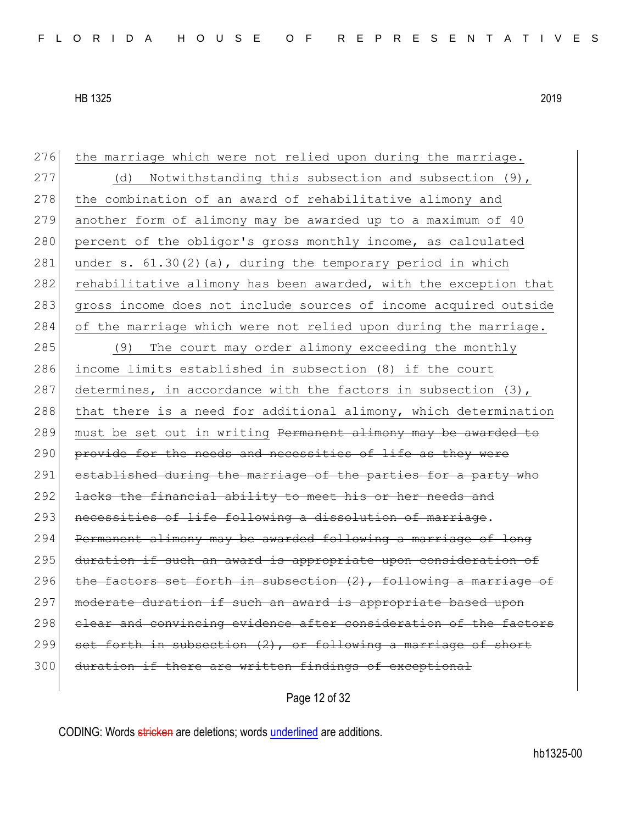| 276 | the marriage which were not relied upon during the marriage.        |
|-----|---------------------------------------------------------------------|
| 277 | Notwithstanding this subsection and subsection (9),<br>(d)          |
| 278 | the combination of an award of rehabilitative alimony and           |
| 279 | another form of alimony may be awarded up to a maximum of 40        |
| 280 | percent of the obligor's gross monthly income, as calculated        |
| 281 | under s. $61.30(2)(a)$ , during the temporary period in which       |
| 282 | rehabilitative alimony has been awarded, with the exception that    |
| 283 | gross income does not include sources of income acquired outside    |
| 284 | of the marriage which were not relied upon during the marriage.     |
| 285 | The court may order alimony exceeding the monthly<br>(9)            |
| 286 | income limits established in subsection (8) if the court            |
| 287 | determines, in accordance with the factors in subsection (3),       |
| 288 | that there is a need for additional alimony, which determination    |
| 289 | must be set out in writing Permanent alimony may be awarded to      |
| 290 | provide for the needs and necessities of life as they were          |
| 291 | established during the marriage of the parties for a party who      |
| 292 | lacks the financial ability to meet his or her needs and            |
| 293 | necessities of life following a dissolution of marriage.            |
| 294 | Permanent alimony may be awarded following a marriage of long       |
| 295 | duration if such an award is appropriate upon consideration of      |
| 296 | the factors set forth in subsection $(2)$ , following a marriage of |
| 297 | moderate duration if such an award is appropriate based upon        |
| 298 | elear and convincing evidence after consideration of the factors    |
| 299 | set forth in subsection (2), or following a marriage of short       |
|     |                                                                     |
| 300 | duration if there are written findings of exceptional               |

Page 12 of 32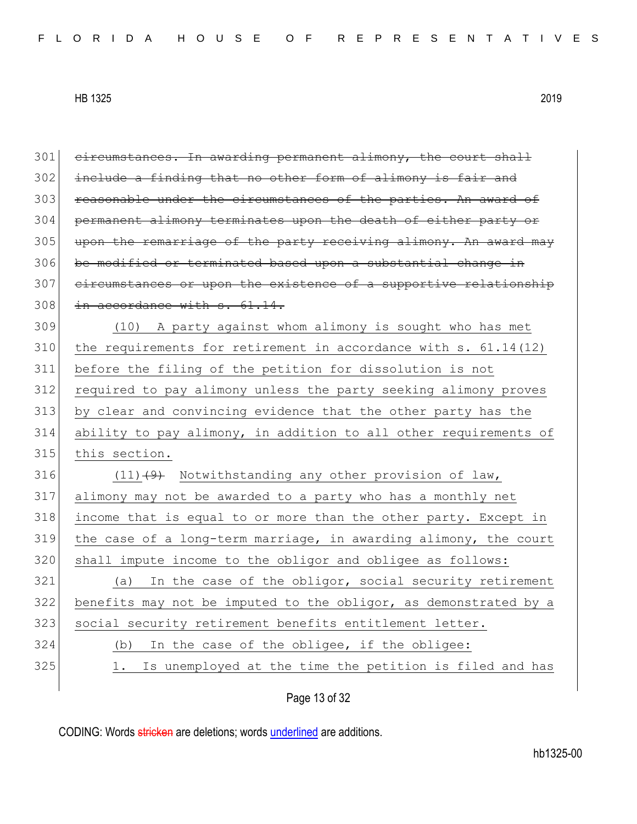| 301 | circumstances. In awarding permanent alimony, the court shall     |
|-----|-------------------------------------------------------------------|
| 302 | include a finding that no other form of alimony is fair and       |
| 303 | reasonable under the circumstances of the parties. An award of    |
| 304 | permanent alimony terminates upon the death of either party or    |
| 305 | upon the remarriage of the party receiving alimony. An award may  |
| 306 | be modified or terminated based upon a substantial change in      |
| 307 | eircumstances or upon the existence of a supportive relationship  |
| 308 | in accordance with s. 61.14.                                      |
| 309 | (10) A party against whom alimony is sought who has met           |
| 310 | the requirements for retirement in accordance with $s. 61.14(12)$ |
| 311 | before the filing of the petition for dissolution is not          |
| 312 | required to pay alimony unless the party seeking alimony proves   |
| 313 | by clear and convincing evidence that the other party has the     |
| 314 | ability to pay alimony, in addition to all other requirements of  |
| 315 | this section.                                                     |
| 316 | $(11)$ $(9)$ Notwithstanding any other provision of law,          |
| 317 | alimony may not be awarded to a party who has a monthly net       |
| 318 | income that is equal to or more than the other party. Except in   |
| 319 | the case of a long-term marriage, in awarding alimony, the court  |
| 320 | shall impute income to the obligor and obligee as follows:        |
| 321 | In the case of the obligor, social security retirement<br>(a)     |
| 322 | benefits may not be imputed to the obligor, as demonstrated by a  |
| 323 | social security retirement benefits entitlement letter.           |
| 324 | In the case of the obligee, if the obligee:<br>(b)                |
| 325 | Is unemployed at the time the petition is filed and has<br>1.     |
|     |                                                                   |

Page 13 of 32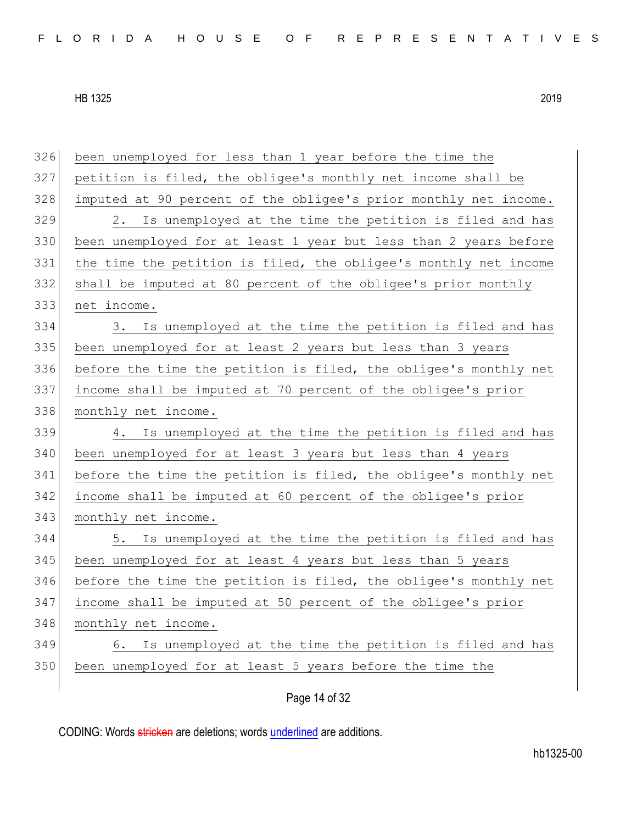| 326 | been unemployed for less than 1 year before the time the         |
|-----|------------------------------------------------------------------|
| 327 | petition is filed, the obligee's monthly net income shall be     |
| 328 | imputed at 90 percent of the obligee's prior monthly net income. |
| 329 | Is unemployed at the time the petition is filed and has<br>2.    |
| 330 | been unemployed for at least 1 year but less than 2 years before |
| 331 | the time the petition is filed, the obligee's monthly net income |
| 332 | shall be imputed at 80 percent of the obligee's prior monthly    |
| 333 | net income.                                                      |
| 334 | Is unemployed at the time the petition is filed and has<br>3.    |
| 335 | been unemployed for at least 2 years but less than 3 years       |
| 336 | before the time the petition is filed, the obligee's monthly net |
| 337 | income shall be imputed at 70 percent of the obligee's prior     |
| 338 | monthly net income.                                              |
| 339 | Is unemployed at the time the petition is filed and has<br>4.    |
| 340 | been unemployed for at least 3 years but less than 4 years       |
| 341 | before the time the petition is filed, the obligee's monthly net |
| 342 | income shall be imputed at 60 percent of the obligee's prior     |
| 343 | monthly net income.                                              |
| 344 | 5. Is unemployed at the time the petition is filed and has       |
| 345 | been unemployed for at least 4 years but less than 5 years       |
| 346 | before the time the petition is filed, the obligee's monthly net |
| 347 | income shall be imputed at 50 percent of the obligee's prior     |
| 348 | monthly net income.                                              |
| 349 | 6. Is unemployed at the time the petition is filed and has       |
| 350 | been unemployed for at least 5 years before the time the         |
|     |                                                                  |

Page 14 of 32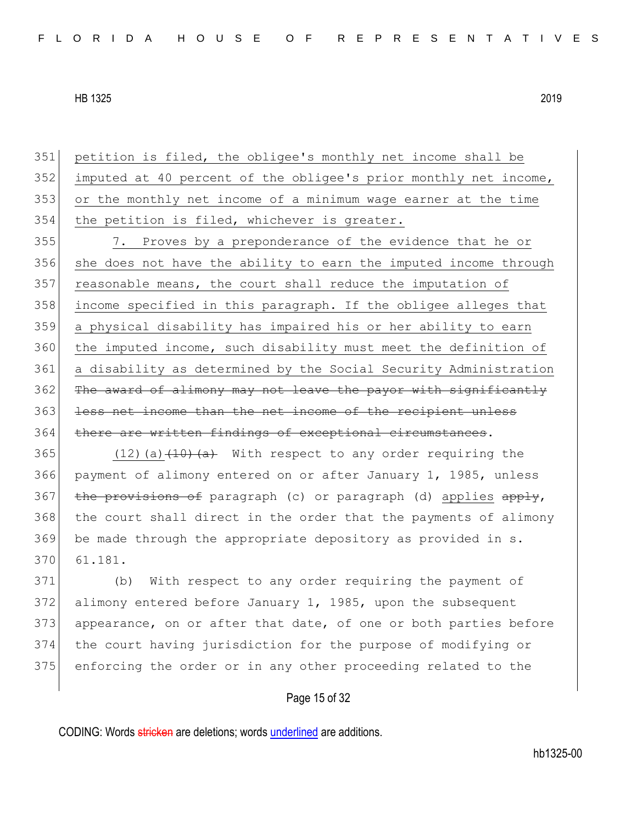petition is filed, the obligee's monthly net income shall be imputed at 40 percent of the obligee's prior monthly net income, or the monthly net income of a minimum wage earner at the time 354 the petition is filed, whichever is greater.

355 7. Proves by a preponderance of the evidence that he or 356 she does not have the ability to earn the imputed income through 357 reasonable means, the court shall reduce the imputation of 358 income specified in this paragraph. If the obligee alleges that 359 a physical disability has impaired his or her ability to earn 360 the imputed income, such disability must meet the definition of 361 a disability as determined by the Social Security Administration 362 The award of alimony may not leave the payor with significantly 363 less net income than the net income of the recipient unless 364 there are written findings of exceptional circumstances.

365  $(12)(a)$   $\overline{(10)}$   $\overline{(a)}$  With respect to any order requiring the 366 payment of alimony entered on or after January 1, 1985, unless 367 the provisions of paragraph (c) or paragraph (d) applies apply, 368 the court shall direct in the order that the payments of alimony 369 be made through the appropriate depository as provided in s. 370 61.181.

371 (b) With respect to any order requiring the payment of 372 alimony entered before January 1, 1985, upon the subsequent 373 appearance, on or after that date, of one or both parties before 374 the court having jurisdiction for the purpose of modifying or 375 enforcing the order or in any other proceeding related to the

### Page 15 of 32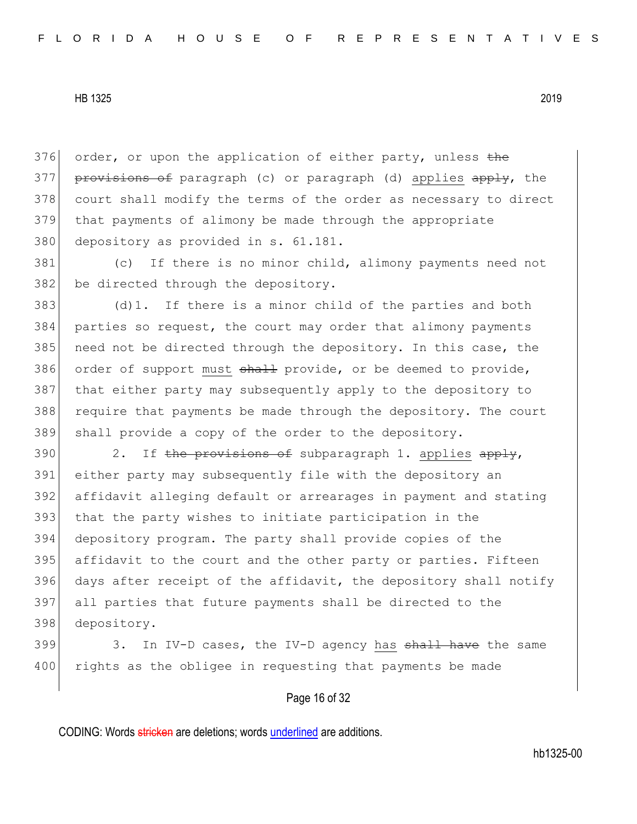376 order, or upon the application of either party, unless the 377 provisions of paragraph (c) or paragraph (d) applies apply, the 378 court shall modify the terms of the order as necessary to direct 379 that payments of alimony be made through the appropriate 380 depository as provided in s. 61.181.

381 (c) If there is no minor child, alimony payments need not 382 be directed through the depository.

 $383$  (d)1. If there is a minor child of the parties and both 384 parties so request, the court may order that alimony payments 385 need not be directed through the depository. In this case, the 386 order of support must shall provide, or be deemed to provide, 387 that either party may subsequently apply to the depository to 388 require that payments be made through the depository. The court 389 shall provide a copy of the order to the depository.

390 2. If the provisions of subparagraph 1. applies  $\frac{1}{2}$ , either party may subsequently file with the depository an affidavit alleging default or arrearages in payment and stating that the party wishes to initiate participation in the depository program. The party shall provide copies of the affidavit to the court and the other party or parties. Fifteen 396 days after receipt of the affidavit, the depository shall notify all parties that future payments shall be directed to the depository.

399 3. In IV-D cases, the IV-D agency has  $\frac{1}{3}$  have the same 400 rights as the obligee in requesting that payments be made

# Page 16 of 32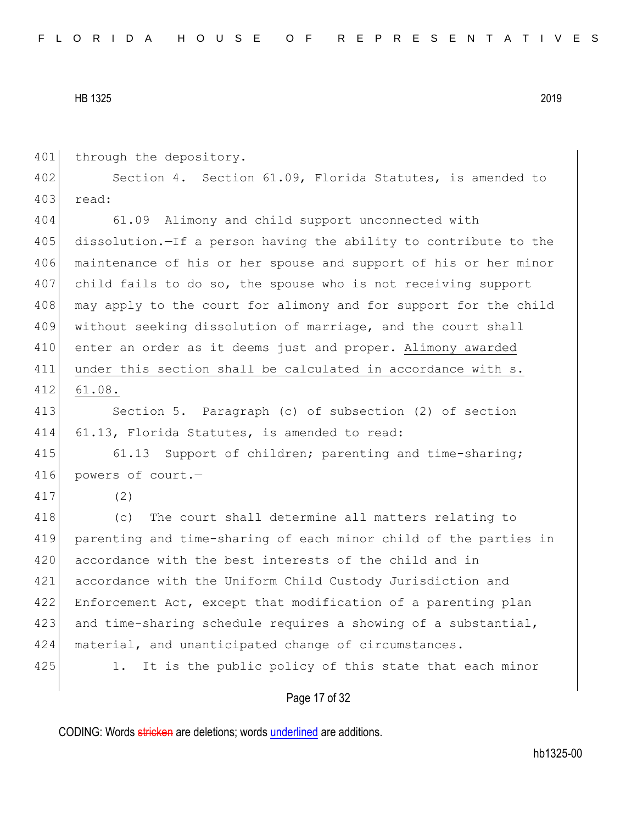401 through the depository.

402 Section 4. Section 61.09, Florida Statutes, is amended to 403 read:

404 61.09 Alimony and child support unconnected with 405 dissolution.—If a person having the ability to contribute to the 406 maintenance of his or her spouse and support of his or her minor 407 child fails to do so, the spouse who is not receiving support 408 may apply to the court for alimony and for support for the child 409 without seeking dissolution of marriage, and the court shall 410 enter an order as it deems just and proper. Alimony awarded 411 under this section shall be calculated in accordance with s. 412 61.08.

413 Section 5. Paragraph (c) of subsection (2) of section 414 61.13, Florida Statutes, is amended to read:

415 61.13 Support of children; parenting and time-sharing; 416 powers of court.—

417 (2)

418 (c) The court shall determine all matters relating to 419 parenting and time-sharing of each minor child of the parties in 420 accordance with the best interests of the child and in 421 accordance with the Uniform Child Custody Jurisdiction and 422 Enforcement Act, except that modification of a parenting plan 423 and time-sharing schedule requires a showing of a substantial, 424 material, and unanticipated change of circumstances. 425 1. It is the public policy of this state that each minor

#### Page 17 of 32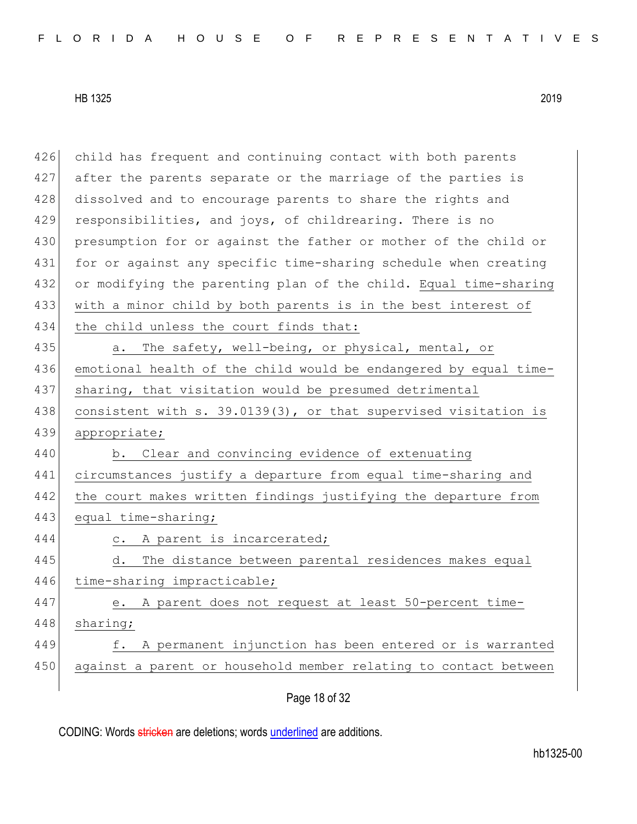426 child has frequent and continuing contact with both parents 427 after the parents separate or the marriage of the parties is 428 dissolved and to encourage parents to share the rights and 429 responsibilities, and joys, of childrearing. There is no 430 presumption for or against the father or mother of the child or 431 for or against any specific time-sharing schedule when creating 432 or modifying the parenting plan of the child. Equal time-sharing 433 with a minor child by both parents is in the best interest of 434 the child unless the court finds that: 435 a. The safety, well-being, or physical, mental, or 436 emotional health of the child would be endangered by equal time-437 sharing, that visitation would be presumed detrimental 438 consistent with s. 39.0139(3), or that supervised visitation is 439 appropriate; 440 b. Clear and convincing evidence of extenuating 441 circumstances justify a departure from equal time-sharing and 442 the court makes written findings justifying the departure from 443 equal time-sharing; 444 c. A parent is incarcerated; 445 d. The distance between parental residences makes equal 446 time-sharing impracticable; 447 e. A parent does not request at least 50-percent time-448 sharing; 449 f. A permanent injunction has been entered or is warranted 450 against a parent or household member relating to contact between

Page 18 of 32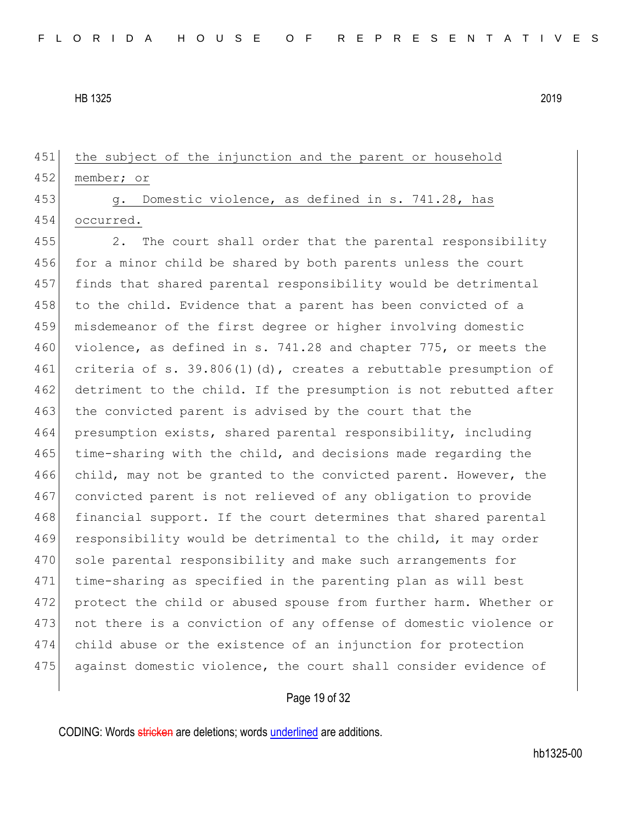452 member; or

451 the subject of the injunction and the parent or household

453 g. Domestic violence, as defined in s. 741.28, has 454 occurred.

455 2. The court shall order that the parental responsibility 456 for a minor child be shared by both parents unless the court 457 finds that shared parental responsibility would be detrimental 458 to the child. Evidence that a parent has been convicted of a 459 misdemeanor of the first degree or higher involving domestic 460 violence, as defined in s. 741.28 and chapter 775, or meets the 461 criteria of s. 39.806(1)(d), creates a rebuttable presumption of 462 detriment to the child. If the presumption is not rebutted after 463 the convicted parent is advised by the court that the 464 presumption exists, shared parental responsibility, including 465 time-sharing with the child, and decisions made regarding the 466 child, may not be granted to the convicted parent. However, the 467 convicted parent is not relieved of any obligation to provide 468 financial support. If the court determines that shared parental 469 responsibility would be detrimental to the child, it may order 470 sole parental responsibility and make such arrangements for 471 time-sharing as specified in the parenting plan as will best 472 protect the child or abused spouse from further harm. Whether or 473 not there is a conviction of any offense of domestic violence or 474 child abuse or the existence of an injunction for protection 475 against domestic violence, the court shall consider evidence of

# Page 19 of 32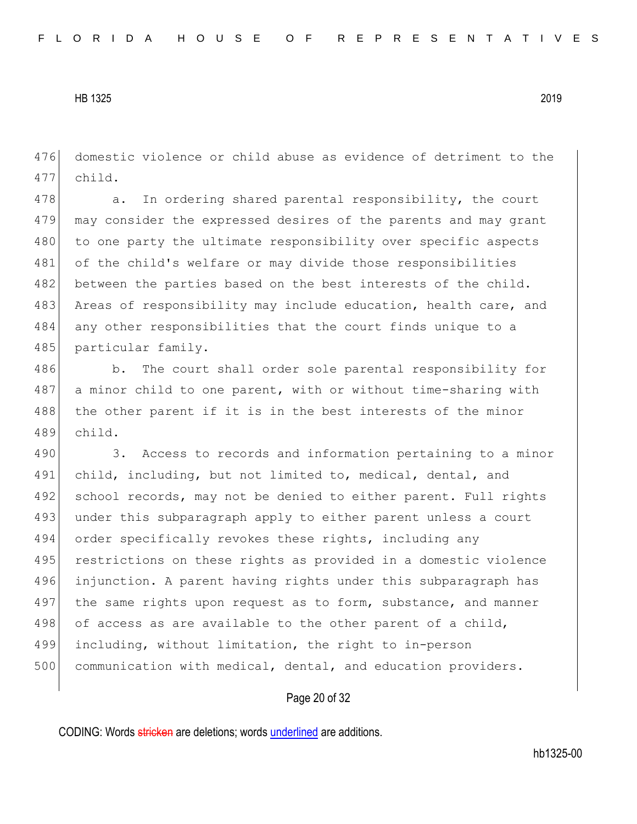476 domestic violence or child abuse as evidence of detriment to the 477 child.

478 a. In ordering shared parental responsibility, the court 479 may consider the expressed desires of the parents and may grant 480 to one party the ultimate responsibility over specific aspects 481 of the child's welfare or may divide those responsibilities 482 between the parties based on the best interests of the child. 483 Areas of responsibility may include education, health care, and 484 any other responsibilities that the court finds unique to a 485 particular family.

486 b. The court shall order sole parental responsibility for 487 a minor child to one parent, with or without time-sharing with 488 the other parent if it is in the best interests of the minor 489 child.

490 3. Access to records and information pertaining to a minor 491 child, including, but not limited to, medical, dental, and 492 school records, may not be denied to either parent. Full rights 493 under this subparagraph apply to either parent unless a court 494 order specifically revokes these rights, including any 495 restrictions on these rights as provided in a domestic violence 496 injunction. A parent having rights under this subparagraph has 497 the same rights upon request as to form, substance, and manner 498 of access as are available to the other parent of a child, 499 including, without limitation, the right to in-person 500 communication with medical, dental, and education providers.

### Page 20 of 32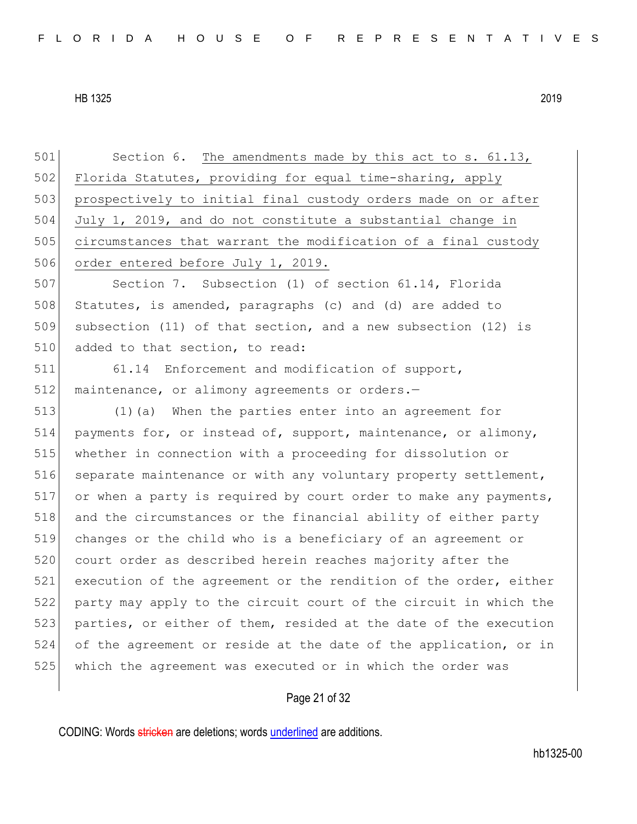501 Section 6. The amendments made by this act to s. 61.13, 502 Florida Statutes, providing for equal time-sharing, apply 503 prospectively to initial final custody orders made on or after 504 July 1, 2019, and do not constitute a substantial change in 505 circumstances that warrant the modification of a final custody 506 order entered before July 1, 2019.

507 Section 7. Subsection (1) of section 61.14, Florida 508 Statutes, is amended, paragraphs (c) and (d) are added to 509 subsection (11) of that section, and a new subsection (12) is 510 added to that section, to read:

511 61.14 Enforcement and modification of support, 512 maintenance, or alimony agreements or orders.-

 (1)(a) When the parties enter into an agreement for payments for, or instead of, support, maintenance, or alimony, whether in connection with a proceeding for dissolution or 516 separate maintenance or with any voluntary property settlement, or when a party is required by court order to make any payments, 518 and the circumstances or the financial ability of either party changes or the child who is a beneficiary of an agreement or 520 court order as described herein reaches majority after the 521 execution of the agreement or the rendition of the order, either party may apply to the circuit court of the circuit in which the 523 parties, or either of them, resided at the date of the execution of the agreement or reside at the date of the application, or in which the agreement was executed or in which the order was

# Page 21 of 32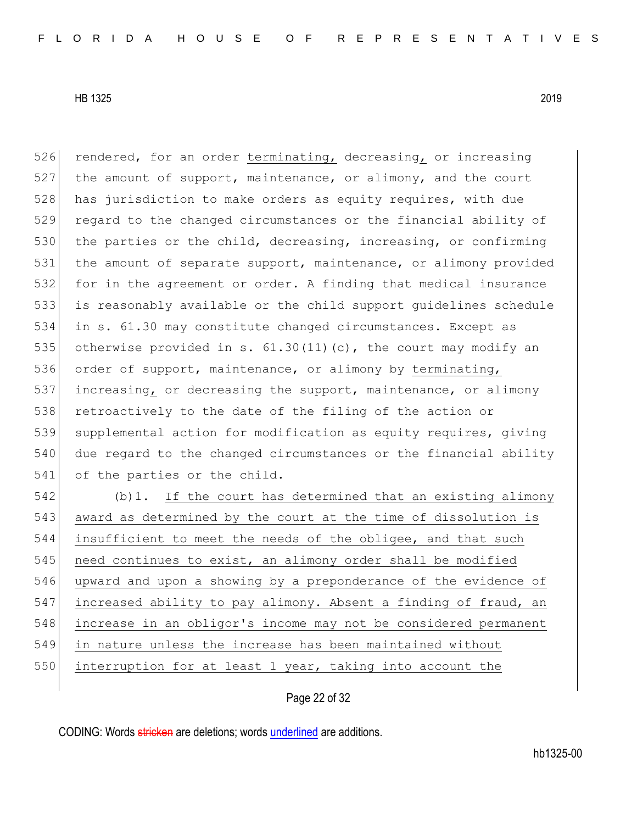526 rendered, for an order terminating, decreasing, or increasing  $527$  the amount of support, maintenance, or alimony, and the court 528 has jurisdiction to make orders as equity requires, with due 529 regard to the changed circumstances or the financial ability of 530 the parties or the child, decreasing, increasing, or confirming 531 the amount of separate support, maintenance, or alimony provided 532 for in the agreement or order. A finding that medical insurance 533 is reasonably available or the child support guidelines schedule 534 in s. 61.30 may constitute changed circumstances. Except as 535 otherwise provided in s.  $61.30(11)(c)$ , the court may modify an 536 order of support, maintenance, or alimony by terminating, 537 increasing, or decreasing the support, maintenance, or alimony 538 retroactively to the date of the filing of the action or 539 supplemental action for modification as equity requires, giving 540 due regard to the changed circumstances or the financial ability 541 of the parties or the child. 542 (b) 1. If the court has determined that an existing alimony 543 award as determined by the court at the time of dissolution is 544 insufficient to meet the needs of the obligee, and that such 545 need continues to exist, an alimony order shall be modified 546 upward and upon a showing by a preponderance of the evidence of 547 increased ability to pay alimony. Absent a finding of fraud, an 548 increase in an obligor's income may not be considered permanent 549 in nature unless the increase has been maintained without 550 interruption for at least 1 year, taking into account the

Page 22 of 32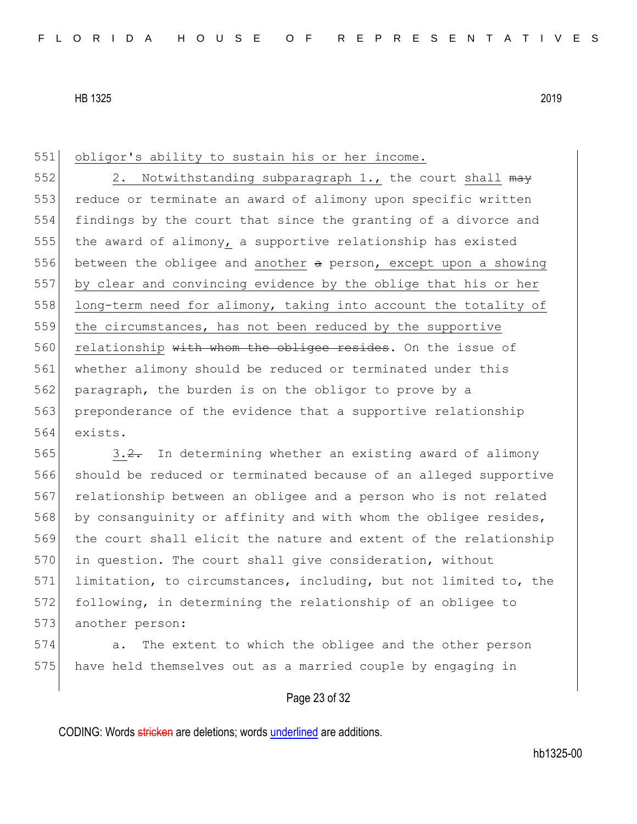#### 551 obligor's ability to sustain his or her income.

552 2. Notwithstanding subparagraph 1., the court shall  $\frac{m}{2}$ 553 reduce or terminate an award of alimony upon specific written 554 findings by the court that since the granting of a divorce and 555 the award of alimony, a supportive relationship has existed 556 between the obligee and another  $a$  person, except upon a showing 557 by clear and convincing evidence by the oblige that his or her 558 long-term need for alimony, taking into account the totality of 559 the circumstances, has not been reduced by the supportive 560 relationship with whom the obligee resides. On the issue of 561 whether alimony should be reduced or terminated under this 562 paragraph, the burden is on the obligor to prove by a 563 preponderance of the evidence that a supportive relationship 564 exists.

565 3.2. In determining whether an existing award of alimony 566 should be reduced or terminated because of an alleged supportive 567 relationship between an obligee and a person who is not related 568 by consanguinity or affinity and with whom the obligee resides, 569 the court shall elicit the nature and extent of the relationship 570 in question. The court shall give consideration, without 571 limitation, to circumstances, including, but not limited to, the 572 following, in determining the relationship of an obligee to 573 another person:

574 a. The extent to which the obligee and the other person 575 have held themselves out as a married couple by engaging in

# Page 23 of 32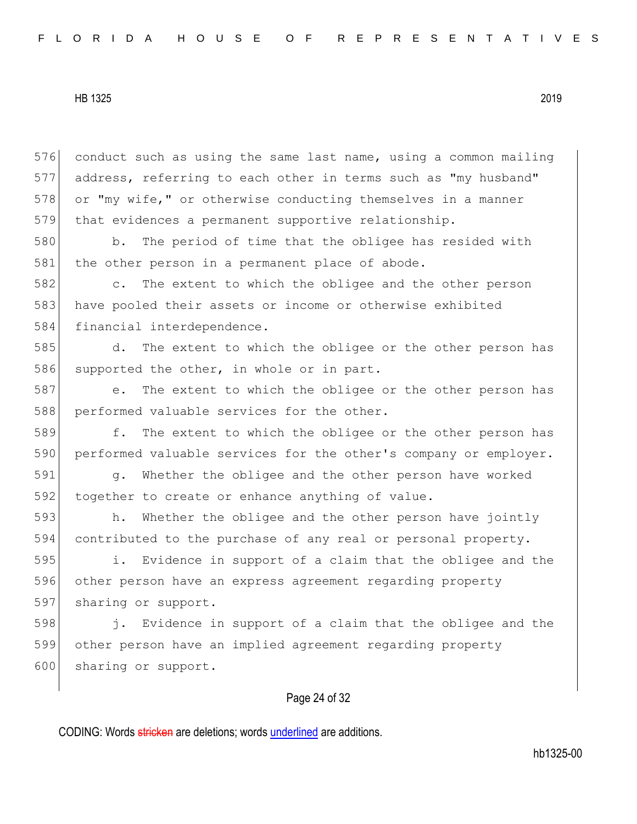576 conduct such as using the same last name, using a common mailing 577 address, referring to each other in terms such as "my husband" 578 or "my wife," or otherwise conducting themselves in a manner 579 that evidences a permanent supportive relationship.

580 b. The period of time that the obligee has resided with 581 the other person in a permanent place of abode.

582 c. The extent to which the obligee and the other person 583 have pooled their assets or income or otherwise exhibited 584 financial interdependence.

585 d. The extent to which the obligee or the other person has 586 supported the other, in whole or in part.

587 e. The extent to which the obligee or the other person has 588 performed valuable services for the other.

589 f. The extent to which the obligee or the other person has 590 performed valuable services for the other's company or employer.

591 g. Whether the obligee and the other person have worked 592 together to create or enhance anything of value.

593 h. Whether the obligee and the other person have jointly 594 contributed to the purchase of any real or personal property.

595 i. Evidence in support of a claim that the obligee and the 596 other person have an express agreement regarding property 597 sharing or support.

598 j. Evidence in support of a claim that the obligee and the 599 other person have an implied agreement regarding property 600 sharing or support.

# Page 24 of 32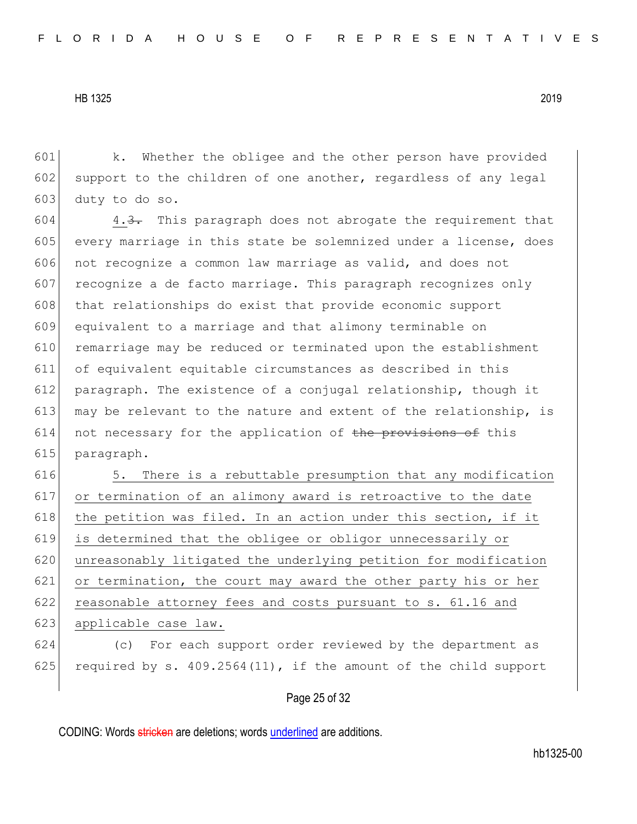601 k. Whether the obligee and the other person have provided 602 support to the children of one another, regardless of any legal 603 duty to do so.

 $604$  4.3. This paragraph does not abrogate the requirement that 605 every marriage in this state be solemnized under a license, does 606 not recognize a common law marriage as valid, and does not 607 recognize a de facto marriage. This paragraph recognizes only 608 that relationships do exist that provide economic support 609 equivalent to a marriage and that alimony terminable on 610 remarriage may be reduced or terminated upon the establishment 611 of equivalent equitable circumstances as described in this 612 paragraph. The existence of a conjugal relationship, though it 613 may be relevant to the nature and extent of the relationship, is 614 not necessary for the application of the provisions of this 615 paragraph.

616 5. There is a rebuttable presumption that any modification 617 or termination of an alimony award is retroactive to the date 618 the petition was filed. In an action under this section, if it 619 is determined that the obligee or obligor unnecessarily or 620 unreasonably litigated the underlying petition for modification 621 or termination, the court may award the other party his or her 622 reasonable attorney fees and costs pursuant to s. 61.16 and 623 applicable case law. 624 (c) For each support order reviewed by the department as

625 required by s.  $409.2564(11)$ , if the amount of the child support

### Page 25 of 32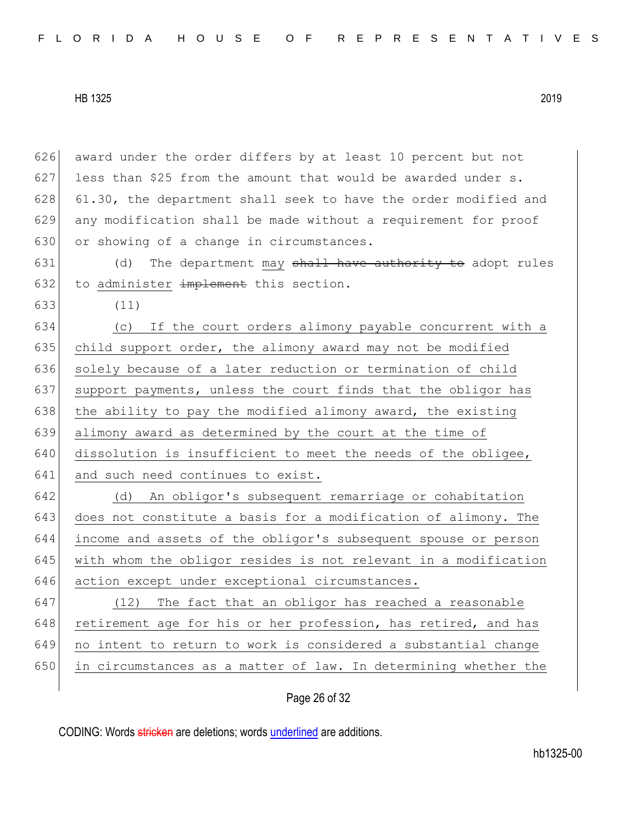626 award under the order differs by at least 10 percent but not 627 less than \$25 from the amount that would be awarded under  $s$ . 628 61.30, the department shall seek to have the order modified and 629 any modification shall be made without a requirement for proof 630 or showing of a change in circumstances.  $631$  (d) The department may shall have authority to adopt rules  $632$  to administer implement this section. 633 (11)

634 (c) If the court orders alimony payable concurrent with a 635 child support order, the alimony award may not be modified 636 solely because of a later reduction or termination of child 637 support payments, unless the court finds that the obligor has 638 the ability to pay the modified alimony award, the existing 639 alimony award as determined by the court at the time of 640 dissolution is insufficient to meet the needs of the obligee, 641 and such need continues to exist.

642 (d) An obligor's subsequent remarriage or cohabitation 643 does not constitute a basis for a modification of alimony. The 644 income and assets of the obligor's subsequent spouse or person 645 with whom the obligor resides is not relevant in a modification 646 action except under exceptional circumstances.

 (12) The fact that an obligor has reached a reasonable 648 retirement age for his or her profession, has retired, and has no intent to return to work is considered a substantial change in circumstances as a matter of law. In determining whether the

# Page 26 of 32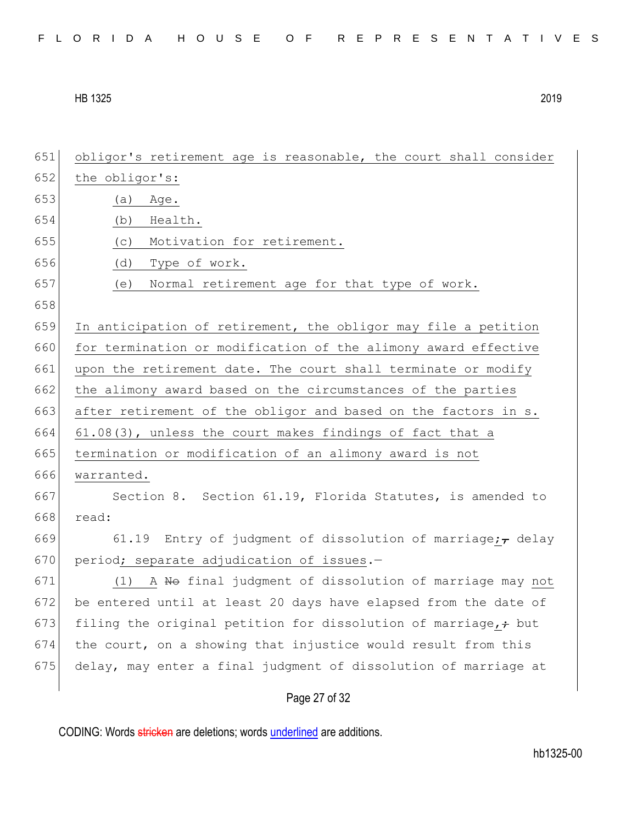| FLORIDA HOUSE OF REPRESENTATIVES |  |
|----------------------------------|--|
|----------------------------------|--|

| 651 | obligor's retirement age is reasonable, the court shall consider       |
|-----|------------------------------------------------------------------------|
| 652 | the obligor's:                                                         |
| 653 | (a)<br>Age.                                                            |
| 654 | (b)<br>Health.                                                         |
| 655 | Motivation for retirement.<br>(C)                                      |
| 656 | Type of work.<br>(d)                                                   |
| 657 | Normal retirement age for that type of work.<br>(e)                    |
| 658 |                                                                        |
| 659 | In anticipation of retirement, the obligor may file a petition         |
| 660 | for termination or modification of the alimony award effective         |
| 661 | upon the retirement date. The court shall terminate or modify          |
| 662 | the alimony award based on the circumstances of the parties            |
| 663 | after retirement of the obligor and based on the factors in s.         |
| 664 | 61.08(3), unless the court makes findings of fact that a               |
| 665 | termination or modification of an alimony award is not                 |
| 666 | warranted.                                                             |
| 667 | Section 8. Section 61.19, Florida Statutes, is amended to              |
| 668 | read:                                                                  |
| 669 | 61.19<br>Entry of judgment of dissolution of marriage; $_{\tau}$ delay |
| 670 | period; separate adjudication of issues.-                              |
| 671 | (1) A No final judgment of dissolution of marriage may not             |
| 672 | be entered until at least 20 days have elapsed from the date of        |
| 673 | filing the original petition for dissolution of marriage, + but        |
| 674 | the court, on a showing that injustice would result from this          |
| 675 | delay, may enter a final judgment of dissolution of marriage at        |
|     |                                                                        |

# Page 27 of 32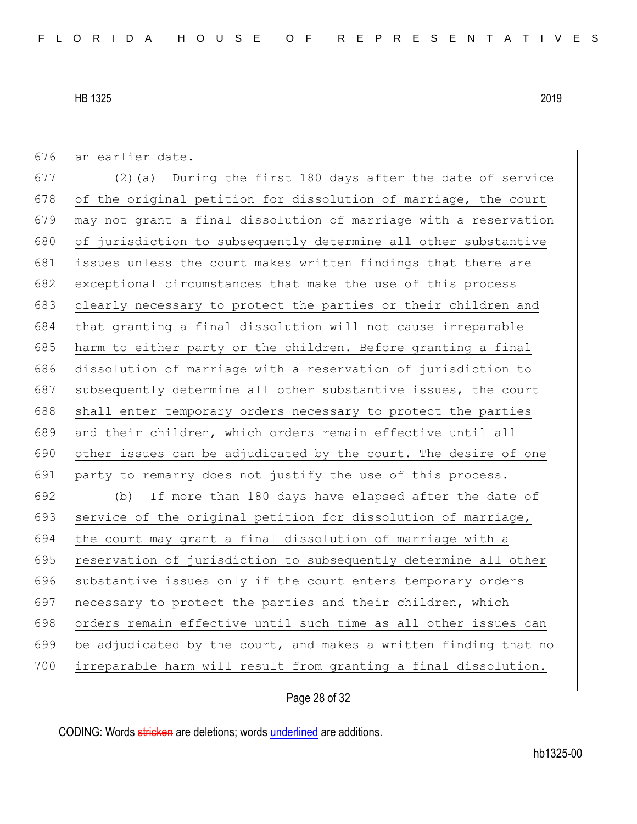676 an earlier date.

677 (2)(a) During the first 180 days after the date of service 678 of the original petition for dissolution of marriage, the court 679 may not grant a final dissolution of marriage with a reservation 680 of jurisdiction to subsequently determine all other substantive 681 issues unless the court makes written findings that there are 682 exceptional circumstances that make the use of this process 683 clearly necessary to protect the parties or their children and 684 that granting a final dissolution will not cause irreparable 685 harm to either party or the children. Before granting a final 686 dissolution of marriage with a reservation of jurisdiction to 687 subsequently determine all other substantive issues, the court 688 shall enter temporary orders necessary to protect the parties 689 and their children, which orders remain effective until all 690 other issues can be adjudicated by the court. The desire of one 691 party to remarry does not justify the use of this process. 692 (b) If more than 180 days have elapsed after the date of 693 service of the original petition for dissolution of marriage, 694 the court may grant a final dissolution of marriage with a 695 reservation of jurisdiction to subsequently determine all other 696 substantive issues only if the court enters temporary orders 697 | necessary to protect the parties and their children, which 698 orders remain effective until such time as all other issues can 699 be adjudicated by the court, and makes a written finding that no 700 irreparable harm will result from granting a final dissolution.

# Page 28 of 32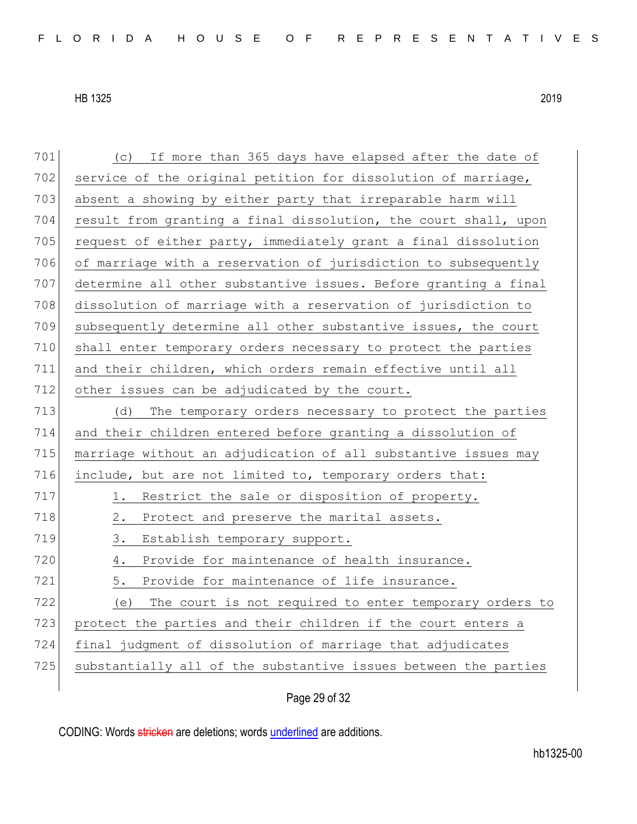| 701 | (c) If more than 365 days have elapsed after the date of        |
|-----|-----------------------------------------------------------------|
| 702 | service of the original petition for dissolution of marriage,   |
| 703 | absent a showing by either party that irreparable harm will     |
| 704 | result from granting a final dissolution, the court shall, upon |
| 705 | request of either party, immediately grant a final dissolution  |
| 706 | of marriage with a reservation of jurisdiction to subsequently  |
| 707 | determine all other substantive issues. Before granting a final |
| 708 | dissolution of marriage with a reservation of jurisdiction to   |
| 709 | subsequently determine all other substantive issues, the court  |
| 710 | shall enter temporary orders necessary to protect the parties   |
| 711 | and their children, which orders remain effective until all     |
| 712 | other issues can be adjudicated by the court.                   |
| 713 | The temporary orders necessary to protect the parties<br>(d)    |
| 714 | and their children entered before granting a dissolution of     |
| 715 | marriage without an adjudication of all substantive issues may  |
| 716 | include, but are not limited to, temporary orders that:         |
| 717 | 1.<br>Restrict the sale or disposition of property.             |
| 718 | 2.<br>Protect and preserve the marital assets.                  |
| 719 | 3.<br>Establish temporary support.                              |
| 720 | 4.<br>Provide for maintenance of health insurance.              |
| 721 | 5.<br>Provide for maintenance of life insurance.                |
| 722 | (e)<br>The court is not required to enter temporary orders to   |
| 723 | protect the parties and their children if the court enters a    |
| 724 | final judgment of dissolution of marriage that adjudicates      |
| 725 | substantially all of the substantive issues between the parties |
|     |                                                                 |

Page 29 of 32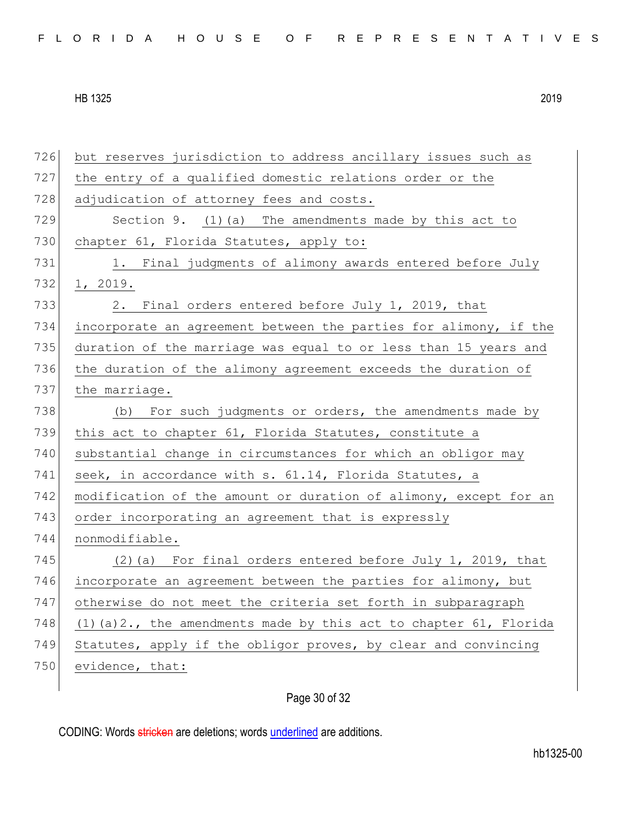| 726 | but reserves jurisdiction to address ancillary issues such as        |
|-----|----------------------------------------------------------------------|
| 727 | the entry of a qualified domestic relations order or the             |
| 728 | adjudication of attorney fees and costs.                             |
| 729 | Section 9. (1) (a) The amendments made by this act to                |
| 730 | chapter 61, Florida Statutes, apply to:                              |
| 731 | 1. Final judgments of alimony awards entered before July             |
| 732 | 1, 2019.                                                             |
| 733 | 2. Final orders entered before July 1, 2019, that                    |
| 734 | incorporate an agreement between the parties for alimony, if the     |
| 735 | duration of the marriage was equal to or less than 15 years and      |
| 736 | the duration of the alimony agreement exceeds the duration of        |
| 737 | the marriage.                                                        |
| 738 | (b) For such judgments or orders, the amendments made by             |
| 739 | this act to chapter 61, Florida Statutes, constitute a               |
| 740 | substantial change in circumstances for which an obligor may         |
| 741 | seek, in accordance with s. 61.14, Florida Statutes, a               |
| 742 | modification of the amount or duration of alimony, except for an     |
| 743 | order incorporating an agreement that is expressly                   |
| 744 | nonmodifiable.                                                       |
| 745 | (2)(a) For final orders entered before July 1, 2019, that            |
| 746 | incorporate an agreement between the parties for alimony, but        |
| 747 | otherwise do not meet the criteria set forth in subparagraph         |
| 748 | $(1)$ (a) 2., the amendments made by this act to chapter 61, Florida |
| 749 | Statutes, apply if the obligor proves, by clear and convincing       |
| 750 | evidence, that:                                                      |
|     |                                                                      |

# Page 30 of 32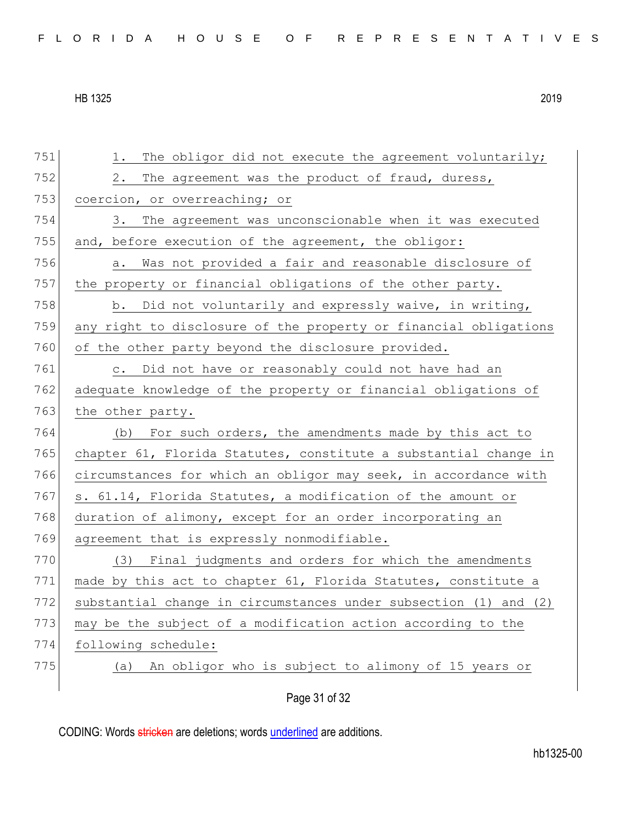| 751 | The obligor did not execute the agreement voluntarily;<br>1.     |
|-----|------------------------------------------------------------------|
| 752 | The agreement was the product of fraud, duress,<br>2.            |
| 753 | coercion, or overreaching; or                                    |
| 754 | 3. The agreement was unconscionable when it was executed         |
| 755 | and, before execution of the agreement, the obligor:             |
| 756 | Was not provided a fair and reasonable disclosure of<br>а.       |
| 757 | the property or financial obligations of the other party.        |
| 758 | b. Did not voluntarily and expressly waive, in writing,          |
| 759 | any right to disclosure of the property or financial obligations |
| 760 | of the other party beyond the disclosure provided.               |
| 761 | c. Did not have or reasonably could not have had an              |
| 762 | adequate knowledge of the property or financial obligations of   |
| 763 | the other party.                                                 |
| 764 | (b) For such orders, the amendments made by this act to          |
| 765 | chapter 61, Florida Statutes, constitute a substantial change in |
| 766 | circumstances for which an obligor may seek, in accordance with  |
| 767 | s. 61.14, Florida Statutes, a modification of the amount or      |
| 768 | duration of alimony, except for an order incorporating an        |
| 769 | agreement that is expressly nonmodifiable.                       |
| 770 | (3) Final judgments and orders for which the amendments          |
| 771 | made by this act to chapter 61, Florida Statutes, constitute a   |
| 772 | substantial change in circumstances under subsection (1) and (2) |
| 773 | may be the subject of a modification action according to the     |
| 774 | following schedule:                                              |
| 775 | An obligor who is subject to alimony of 15 years or<br>(a)       |
|     |                                                                  |
|     | Page 31 of 32                                                    |